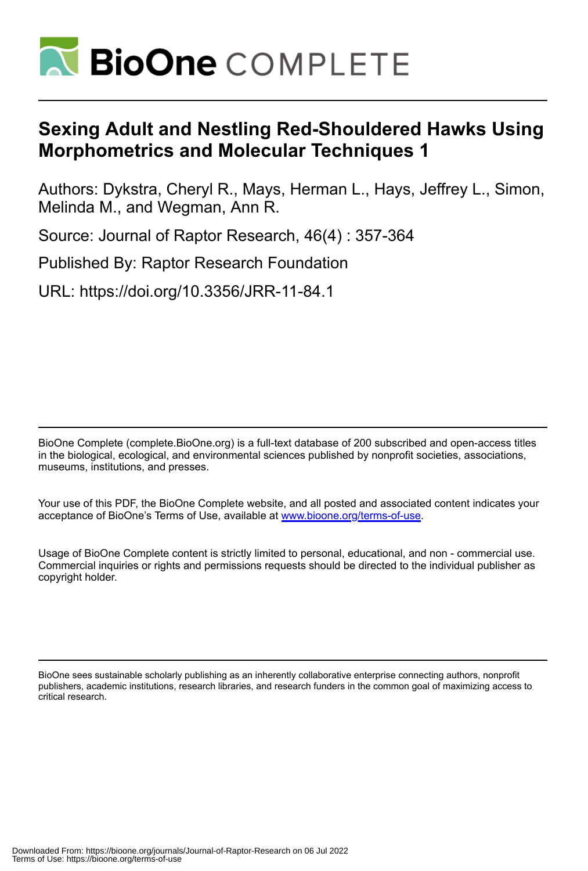

# **Sexing Adult and Nestling Red-Shouldered Hawks Using Morphometrics and Molecular Techniques 1**

Authors: Dykstra, Cheryl R., Mays, Herman L., Hays, Jeffrey L., Simon, Melinda M., and Wegman, Ann R.

Source: Journal of Raptor Research, 46(4) : 357-364

Published By: Raptor Research Foundation

URL: https://doi.org/10.3356/JRR-11-84.1

BioOne Complete (complete.BioOne.org) is a full-text database of 200 subscribed and open-access titles in the biological, ecological, and environmental sciences published by nonprofit societies, associations, museums, institutions, and presses.

Your use of this PDF, the BioOne Complete website, and all posted and associated content indicates your acceptance of BioOne's Terms of Use, available at www.bioone.org/terms-of-use.

Usage of BioOne Complete content is strictly limited to personal, educational, and non - commercial use. Commercial inquiries or rights and permissions requests should be directed to the individual publisher as copyright holder.

BioOne sees sustainable scholarly publishing as an inherently collaborative enterprise connecting authors, nonprofit publishers, academic institutions, research libraries, and research funders in the common goal of maximizing access to critical research.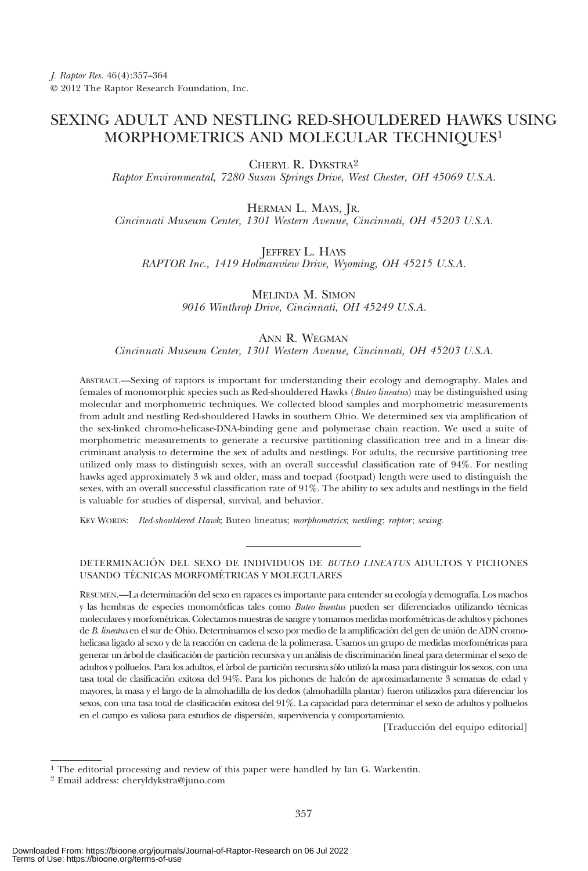# SEXING ADULT AND NESTLING RED-SHOULDERED HAWKS USING MORPHOMETRICS AND MOLECULAR TECHNIQUES1

CHERYL R. DYKSTRA2

Raptor Environmental, 7280 Susan Springs Drive, West Chester, OH 45069 U.S.A.

HERMAN L. MAYS, JR.

Cincinnati Museum Center, 1301 Western Avenue, Cincinnati, OH 45203 U.S.A.

JEFFREY L. HAYS

RAPTOR Inc., 1419 Holmanview Drive, Wyoming, OH 45215 U.S.A.

MELINDA M. SIMON 9016 Winthrop Drive, Cincinnati, OH 45249 U.S.A.

# ANN R. WEGMAN

Cincinnati Museum Center, 1301 Western Avenue, Cincinnati, OH 45203 U.S.A.

ABSTRACT.—Sexing of raptors is important for understanding their ecology and demography. Males and females of monomorphic species such as Red-shouldered Hawks (Buteo lineatus) may be distinguished using molecular and morphometric techniques. We collected blood samples and morphometric measurements from adult and nestling Red-shouldered Hawks in southern Ohio. We determined sex via amplification of the sex-linked chromo-helicase-DNA-binding gene and polymerase chain reaction. We used a suite of morphometric measurements to generate a recursive partitioning classification tree and in a linear discriminant analysis to determine the sex of adults and nestlings. For adults, the recursive partitioning tree utilized only mass to distinguish sexes, with an overall successful classification rate of 94%. For nestling hawks aged approximately 3 wk and older, mass and toepad (footpad) length were used to distinguish the sexes, with an overall successful classification rate of 91%. The ability to sex adults and nestlings in the field is valuable for studies of dispersal, survival, and behavior.

KEY WORDS: Red-shouldered Hawk; Buteo lineatus; morphometrics; nestling; raptor; sexing.

## DETERMINACIÓN DEL SEXO DE INDIVIDUOS DE BUTEO LINEATUS ADULTOS Y PICHONES USANDO TÉCNICAS MORFOMÉTRICAS Y MOLECULARES

RESUMEN.—La determinación del sexo en rapaces es importante para entender su ecología y demografía. Los machos y las hembras de especies monomórficas tales como Buteo lineatus pueden ser diferenciados utilizando técnicas moleculares y morfométricas. Colectamos muestras de sangre y tomamos medidas morfométricas de adultos y pichones de B. lineatus en el sur de Ohio. Determinamos el sexo por medio de la amplificación del gen de unión de ADN cromohelicasa ligado al sexo y de la reacción en cadena de la polimerasa. Usamos un grupo de medidas morfométricas para generar un árbol de clasificación de partición recursiva y un análisis de discriminación lineal para determinar el sexo de adultos y polluelos. Para los adultos, el árbol de partición recursiva sólo utilizó la masa para distinguir los sexos, con una tasa total de clasificación exitosa del 94%. Para los pichones de halcón de aproximadamente 3 semanas de edad y mayores, la masa y el largo de la almohadilla de los dedos (almohadilla plantar) fueron utilizados para diferenciar los sexos, con una tasa total de clasificación exitosa del 91%. La capacidad para determinar el sexo de adultos y polluelos en el campo es valiosa para estudios de dispersión, supervivencia y comportamiento.

[Traducción del equipo editorial]

<sup>1</sup> The editorial processing and review of this paper were handled by Ian G. Warkentin.

<sup>2</sup> Email address: cheryldykstra@juno.com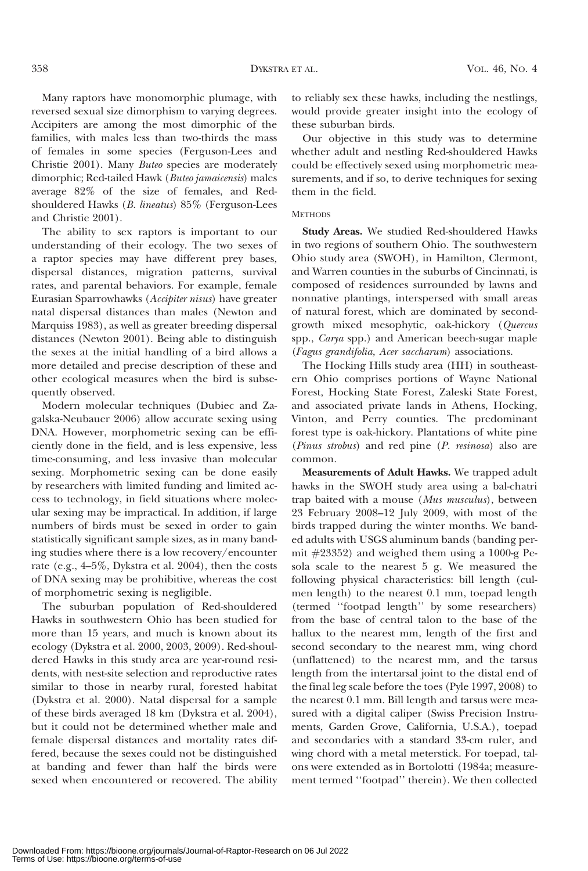Many raptors have monomorphic plumage, with reversed sexual size dimorphism to varying degrees. Accipiters are among the most dimorphic of the families, with males less than two-thirds the mass of females in some species (Ferguson-Lees and Christie 2001). Many Buteo species are moderately dimorphic; Red-tailed Hawk (Buteo jamaicensis) males average 82% of the size of females, and Redshouldered Hawks (B. lineatus) 85% (Ferguson-Lees and Christie 2001).

The ability to sex raptors is important to our understanding of their ecology. The two sexes of a raptor species may have different prey bases, dispersal distances, migration patterns, survival rates, and parental behaviors. For example, female Eurasian Sparrowhawks (Accipiter nisus) have greater natal dispersal distances than males (Newton and Marquiss 1983), as well as greater breeding dispersal distances (Newton 2001). Being able to distinguish the sexes at the initial handling of a bird allows a more detailed and precise description of these and other ecological measures when the bird is subsequently observed.

Modern molecular techniques (Dubiec and Zagalska-Neubauer 2006) allow accurate sexing using DNA. However, morphometric sexing can be efficiently done in the field, and is less expensive, less time-consuming, and less invasive than molecular sexing. Morphometric sexing can be done easily by researchers with limited funding and limited access to technology, in field situations where molecular sexing may be impractical. In addition, if large numbers of birds must be sexed in order to gain statistically significant sample sizes, as in many banding studies where there is a low recovery/encounter rate (e.g., 4–5%, Dykstra et al. 2004), then the costs of DNA sexing may be prohibitive, whereas the cost of morphometric sexing is negligible.

The suburban population of Red-shouldered Hawks in southwestern Ohio has been studied for more than 15 years, and much is known about its ecology (Dykstra et al. 2000, 2003, 2009). Red-shouldered Hawks in this study area are year-round residents, with nest-site selection and reproductive rates similar to those in nearby rural, forested habitat (Dykstra et al. 2000). Natal dispersal for a sample of these birds averaged 18 km (Dykstra et al. 2004), but it could not be determined whether male and female dispersal distances and mortality rates differed, because the sexes could not be distinguished at banding and fewer than half the birds were sexed when encountered or recovered. The ability

to reliably sex these hawks, including the nestlings, would provide greater insight into the ecology of these suburban birds.

Our objective in this study was to determine whether adult and nestling Red-shouldered Hawks could be effectively sexed using morphometric measurements, and if so, to derive techniques for sexing them in the field.

#### **METHODS**

Study Areas. We studied Red-shouldered Hawks in two regions of southern Ohio. The southwestern Ohio study area (SWOH), in Hamilton, Clermont, and Warren counties in the suburbs of Cincinnati, is composed of residences surrounded by lawns and nonnative plantings, interspersed with small areas of natural forest, which are dominated by secondgrowth mixed mesophytic, oak-hickory (Quercus spp., Carya spp.) and American beech-sugar maple (Fagus grandifolia, Acer saccharum) associations.

The Hocking Hills study area (HH) in southeastern Ohio comprises portions of Wayne National Forest, Hocking State Forest, Zaleski State Forest, and associated private lands in Athens, Hocking, Vinton, and Perry counties. The predominant forest type is oak-hickory. Plantations of white pine (Pinus strobus) and red pine (P. resinosa) also are common.

Measurements of Adult Hawks. We trapped adult hawks in the SWOH study area using a bal-chatri trap baited with a mouse (Mus musculus), between 23 February 2008–12 July 2009, with most of the birds trapped during the winter months. We banded adults with USGS aluminum bands (banding permit  $\#23352$ ) and weighed them using a 1000-g Pesola scale to the nearest 5 g. We measured the following physical characteristics: bill length (culmen length) to the nearest 0.1 mm, toepad length (termed ''footpad length'' by some researchers) from the base of central talon to the base of the hallux to the nearest mm, length of the first and second secondary to the nearest mm, wing chord (unflattened) to the nearest mm, and the tarsus length from the intertarsal joint to the distal end of the final leg scale before the toes (Pyle 1997, 2008) to the nearest 0.1 mm. Bill length and tarsus were measured with a digital caliper (Swiss Precision Instruments, Garden Grove, California, U.S.A.), toepad and secondaries with a standard 33-cm ruler, and wing chord with a metal meterstick. For toepad, talons were extended as in Bortolotti (1984a; measurement termed ''footpad'' therein). We then collected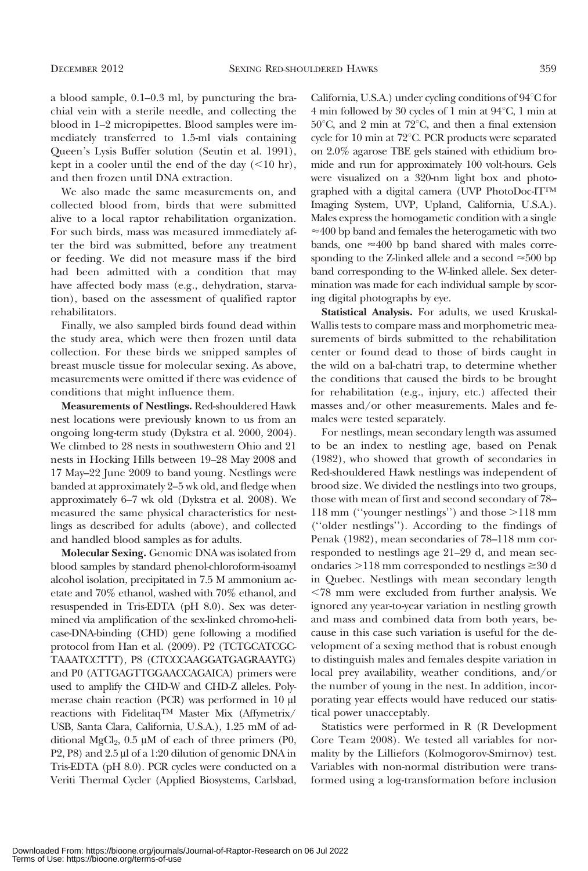a blood sample, 0.1–0.3 ml, by puncturing the brachial vein with a sterile needle, and collecting the blood in 1–2 micropipettes. Blood samples were immediately transferred to 1.5-ml vials containing Queen's Lysis Buffer solution (Seutin et al. 1991), kept in a cooler until the end of the day  $(<10$  hr), and then frozen until DNA extraction.

We also made the same measurements on, and collected blood from, birds that were submitted alive to a local raptor rehabilitation organization. For such birds, mass was measured immediately after the bird was submitted, before any treatment or feeding. We did not measure mass if the bird had been admitted with a condition that may have affected body mass (e.g., dehydration, starvation), based on the assessment of qualified raptor rehabilitators.

Finally, we also sampled birds found dead within the study area, which were then frozen until data collection. For these birds we snipped samples of breast muscle tissue for molecular sexing. As above, measurements were omitted if there was evidence of conditions that might influence them.

Measurements of Nestlings. Red-shouldered Hawk nest locations were previously known to us from an ongoing long-term study (Dykstra et al. 2000, 2004). We climbed to 28 nests in southwestern Ohio and 21 nests in Hocking Hills between 19–28 May 2008 and 17 May–22 June 2009 to band young. Nestlings were banded at approximately 2–5 wk old, and fledge when approximately 6–7 wk old (Dykstra et al. 2008). We measured the same physical characteristics for nestlings as described for adults (above), and collected and handled blood samples as for adults.

Molecular Sexing. Genomic DNA was isolated from blood samples by standard phenol-chloroform-isoamyl alcohol isolation, precipitated in 7.5 M ammonium acetate and 70% ethanol, washed with 70% ethanol, and resuspended in Tris-EDTA (pH 8.0). Sex was determined via amplification of the sex-linked chromo-helicase-DNA-binding (CHD) gene following a modified protocol from Han et al. (2009). P2 (TCTGCATCGC-TAAATCCTTT), P8 (CTCCCAAGGATGAGRAAYTG) and P0 (ATTGAGTTGGAACCAGAICA) primers were used to amplify the CHD-W and CHD-Z alleles. Polymerase chain reaction (PCR) was performed in 10 µl reactions with FidelitaqTM Master Mix (Affymetrix/ USB, Santa Clara, California, U.S.A.), 1.25 mM of additional MgCl<sub>2</sub>,  $0.5 \mu M$  of each of three primers (P0, P2, P8) and 2.5 µl of a 1:20 dilution of genomic DNA in Tris-EDTA (pH 8.0). PCR cycles were conducted on a Veriti Thermal Cycler (Applied Biosystems, Carlsbad,

California, U.S.A.) under cycling conditions of  $94^{\circ}$ C for 4 min followed by 30 cycles of 1 min at  $94^{\circ}$ C, 1 min at  $50^{\circ}$ C, and 2 min at 72 $^{\circ}$ C, and then a final extension cycle for 10 min at  $72^{\circ}$ C. PCR products were separated on 2.0% agarose TBE gels stained with ethidium bromide and run for approximately 100 volt-hours. Gels were visualized on a 320-nm light box and photographed with a digital camera (UVP PhotoDoc-ITTM Imaging System, UVP, Upland, California, U.S.A.). Males express the homogametic condition with a single  $\approx$ 400 bp band and females the heterogametic with two bands, one  $\approx$  400 bp band shared with males corresponding to the Z-linked allele and a second  $\approx$  500 bp band corresponding to the W-linked allele. Sex determination was made for each individual sample by scoring digital photographs by eye.

Statistical Analysis. For adults, we used Kruskal-Wallis tests to compare mass and morphometric measurements of birds submitted to the rehabilitation center or found dead to those of birds caught in the wild on a bal-chatri trap, to determine whether the conditions that caused the birds to be brought for rehabilitation (e.g., injury, etc.) affected their masses and/or other measurements. Males and females were tested separately.

For nestlings, mean secondary length was assumed to be an index to nestling age, based on Penak (1982), who showed that growth of secondaries in Red-shouldered Hawk nestlings was independent of brood size. We divided the nestlings into two groups, those with mean of first and second secondary of 78-118 mm ("younger nestlings") and those  $>118$  mm (''older nestlings''). According to the findings of Penak (1982), mean secondaries of 78–118 mm corresponded to nestlings age 21–29 d, and mean secondaries  $>118$  mm corresponded to nestlings  $\geq 30$  d in Quebec. Nestlings with mean secondary length ,78 mm were excluded from further analysis. We ignored any year-to-year variation in nestling growth and mass and combined data from both years, because in this case such variation is useful for the development of a sexing method that is robust enough to distinguish males and females despite variation in local prey availability, weather conditions, and/or the number of young in the nest. In addition, incorporating year effects would have reduced our statistical power unacceptably.

Statistics were performed in R (R Development Core Team 2008). We tested all variables for normality by the Lilliefors (Kolmogorov-Smirnov) test. Variables with non-normal distribution were transformed using a log-transformation before inclusion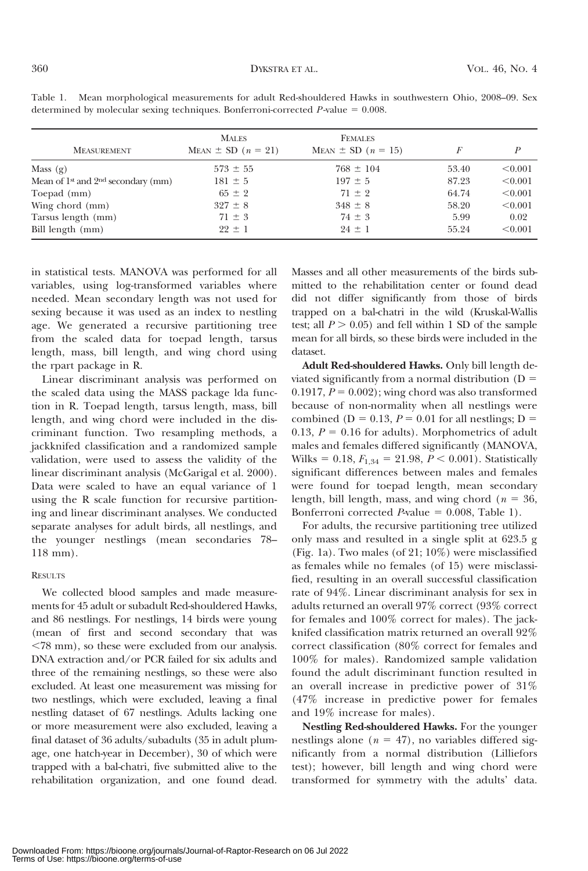| <b>MEASUREMENT</b>                     | <b>MALES</b><br>MEAN $\pm$ SD ( $n = 21$ ) | <b>FEMALES</b><br>MEAN $\pm$ SD ( $n = 15$ ) | F     | P       |
|----------------------------------------|--------------------------------------------|----------------------------------------------|-------|---------|
| Mass $(g)$                             | $573 \pm 55$                               | $768 \pm 104$                                | 53.40 | < 0.001 |
| Mean of $1st$ and $2nd$ secondary (mm) | $181 \pm 5$                                | $197 \pm 5$                                  | 87.23 | < 0.001 |
| Toepad (mm)                            | $65 \pm 2$                                 | $71 \pm 2$                                   | 64.74 | < 0.001 |
| Wing chord (mm)                        | $327 \pm 8$                                | $348 \pm 8$                                  | 58.20 | < 0.001 |
| Tarsus length (mm)                     | $71 \pm 3$                                 | $74 \pm 3$                                   | 5.99  | 0.02    |
| Bill length (mm)                       | $22 \pm 1$                                 | $24 \pm 1$                                   | 55.24 | < 0.001 |

Table 1. Mean morphological measurements for adult Red-shouldered Hawks in southwestern Ohio, 2008–09. Sex determined by molecular sexing techniques. Bonferroni-corrected  $P$ -value = 0.008.

in statistical tests. MANOVA was performed for all variables, using log-transformed variables where needed. Mean secondary length was not used for sexing because it was used as an index to nestling age. We generated a recursive partitioning tree from the scaled data for toepad length, tarsus length, mass, bill length, and wing chord using the rpart package in R.

Linear discriminant analysis was performed on the scaled data using the MASS package lda function in R. Toepad length, tarsus length, mass, bill length, and wing chord were included in the discriminant function. Two resampling methods, a jackknifed classification and a randomized sample validation, were used to assess the validity of the linear discriminant analysis (McGarigal et al. 2000). Data were scaled to have an equal variance of 1 using the R scale function for recursive partitioning and linear discriminant analyses. We conducted separate analyses for adult birds, all nestlings, and the younger nestlings (mean secondaries 78– 118 mm).

### **RESULTS**

We collected blood samples and made measurements for 45 adult or subadult Red-shouldered Hawks, and 86 nestlings. For nestlings, 14 birds were young (mean of first and second secondary that was  $<$ 78 mm), so these were excluded from our analysis. DNA extraction and/or PCR failed for six adults and three of the remaining nestlings, so these were also excluded. At least one measurement was missing for two nestlings, which were excluded, leaving a final nestling dataset of 67 nestlings. Adults lacking one or more measurement were also excluded, leaving a final dataset of 36 adults/subadults (35 in adult plumage, one hatch-year in December), 30 of which were trapped with a bal-chatri, five submitted alive to the rehabilitation organization, and one found dead.

Masses and all other measurements of the birds submitted to the rehabilitation center or found dead did not differ significantly from those of birds trapped on a bal-chatri in the wild (Kruskal-Wallis test; all  $P > 0.05$ ) and fell within 1 SD of the sample mean for all birds, so these birds were included in the dataset.

Adult Red-shouldered Hawks. Only bill length deviated significantly from a normal distribution  $(D =$  $0.1917, P = 0.002$ ; wing chord was also transformed because of non-normality when all nestlings were combined ( $D = 0.13$ ,  $P = 0.01$  for all nestlings;  $D =$ 0.13,  $P = 0.16$  for adults). Morphometrics of adult males and females differed significantly (MANOVA, Wilks = 0.18,  $F_{1,34}$  = 21.98,  $P < 0.001$ ). Statistically significant differences between males and females were found for toepad length, mean secondary length, bill length, mass, and wing chord ( $n = 36$ , Bonferroni corrected  $P$ -value = 0.008, Table 1).

For adults, the recursive partitioning tree utilized only mass and resulted in a single split at 623.5 g (Fig. 1a). Two males (of 21; 10%) were misclassified as females while no females (of 15) were misclassified, resulting in an overall successful classification rate of 94%. Linear discriminant analysis for sex in adults returned an overall 97% correct (93% correct for females and 100% correct for males). The jackknifed classification matrix returned an overall 92% correct classification (80% correct for females and 100% for males). Randomized sample validation found the adult discriminant function resulted in an overall increase in predictive power of 31% (47% increase in predictive power for females and 19% increase for males).

Nestling Red-shouldered Hawks. For the younger nestlings alone ( $n = 47$ ), no variables differed significantly from a normal distribution (Lilliefors test); however, bill length and wing chord were transformed for symmetry with the adults' data.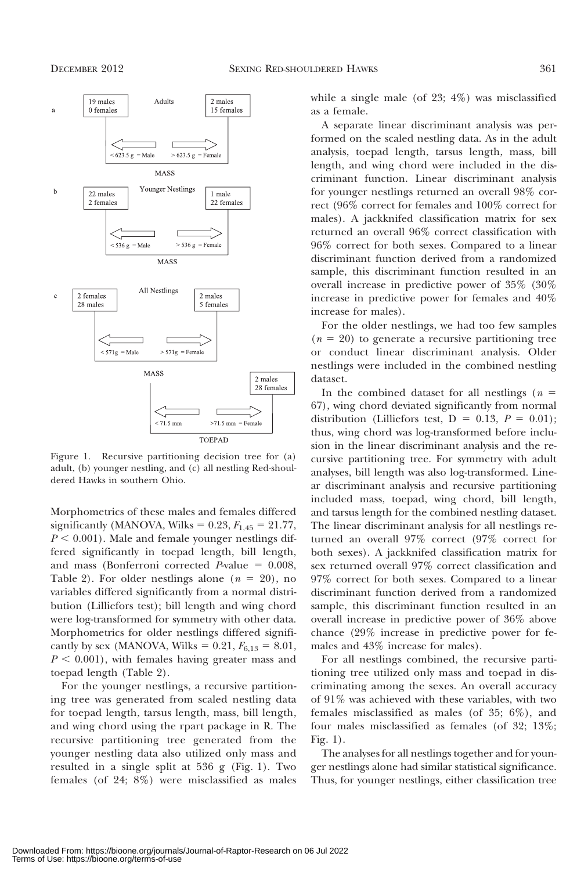

Figure 1. Recursive partitioning decision tree for (a) adult, (b) younger nestling, and (c) all nestling Red-shouldered Hawks in southern Ohio.

Morphometrics of these males and females differed significantly (MANOVA, Wilks =  $0.23, F_{1.45} = 21.77$ ,  $P < 0.001$ ). Male and female younger nestlings differed significantly in toepad length, bill length, and mass (Bonferroni corrected  $P$ -value = 0.008, Table 2). For older nestlings alone  $(n = 20)$ , no variables differed significantly from a normal distribution (Lilliefors test); bill length and wing chord were log-transformed for symmetry with other data. Morphometrics for older nestlings differed significantly by sex (MANOVA, Wilks =  $0.21, F_{6,13} = 8.01$ ,  $P < 0.001$ ), with females having greater mass and toepad length (Table 2).

For the younger nestlings, a recursive partitioning tree was generated from scaled nestling data for toepad length, tarsus length, mass, bill length, and wing chord using the rpart package in R. The recursive partitioning tree generated from the younger nestling data also utilized only mass and resulted in a single split at 536 g (Fig. 1). Two females (of 24; 8%) were misclassified as males while a single male (of  $23$ ;  $4\%$ ) was misclassified as a female.

A separate linear discriminant analysis was performed on the scaled nestling data. As in the adult analysis, toepad length, tarsus length, mass, bill length, and wing chord were included in the discriminant function. Linear discriminant analysis for younger nestlings returned an overall 98% correct (96% correct for females and 100% correct for males). A jackknifed classification matrix for sex returned an overall 96% correct classification with 96% correct for both sexes. Compared to a linear discriminant function derived from a randomized sample, this discriminant function resulted in an overall increase in predictive power of 35% (30% increase in predictive power for females and 40% increase for males).

For the older nestlings, we had too few samples  $(n = 20)$  to generate a recursive partitioning tree or conduct linear discriminant analysis. Older nestlings were included in the combined nestling dataset.

In the combined dataset for all nestlings ( $n =$ 67), wing chord deviated significantly from normal distribution (Lilliefors test,  $D = 0.13$ ,  $P = 0.01$ ); thus, wing chord was log-transformed before inclusion in the linear discriminant analysis and the recursive partitioning tree. For symmetry with adult analyses, bill length was also log-transformed. Linear discriminant analysis and recursive partitioning included mass, toepad, wing chord, bill length, and tarsus length for the combined nestling dataset. The linear discriminant analysis for all nestlings returned an overall 97% correct (97% correct for both sexes). A jackknifed classification matrix for sex returned overall 97% correct classification and 97% correct for both sexes. Compared to a linear discriminant function derived from a randomized sample, this discriminant function resulted in an overall increase in predictive power of 36% above chance (29% increase in predictive power for females and 43% increase for males).

For all nestlings combined, the recursive partitioning tree utilized only mass and toepad in discriminating among the sexes. An overall accuracy of 91% was achieved with these variables, with two females misclassified as males (of 35; 6%), and four males misclassified as females (of 32; 13%; Fig. 1).

The analyses for all nestlings together and for younger nestlings alone had similar statistical significance. Thus, for younger nestlings, either classification tree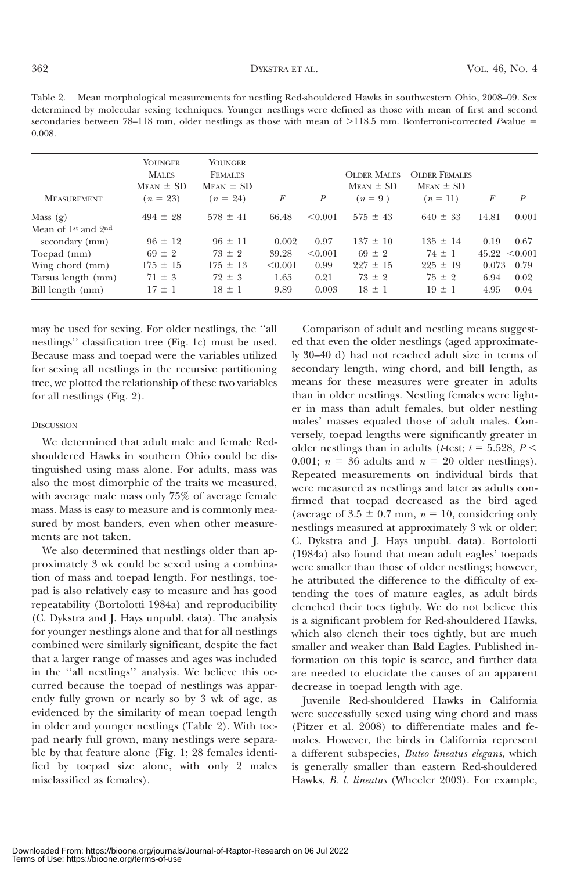Table 2. Mean morphological measurements for nestling Red-shouldered Hawks in southwestern Ohio, 2008–09. Sex determined by molecular sexing techniques. Younger nestlings were defined as those with mean of first and second secondaries between 78–118 mm, older nestlings as those with mean of >118.5 mm. Bonferroni-corrected P-value = 0.008.

| <b>MEASUREMENT</b>      | YOUNGER<br><b>MALES</b><br>$M_{EAN}$ $\pm$ SD<br>$(n = 23)$ | YOUNGER<br><b>FEMALES</b><br>$M_{EAN}$ $\pm$ SD<br>$(n = 24)$ | F       | P       | <b>OLDER MALES</b><br>$MFAN \pm SD$<br>$(n=9)$ | <b>OLDER FEMALES</b><br>$MFAN \pm SD$<br>$(n = 11)$ | F     | P       |
|-------------------------|-------------------------------------------------------------|---------------------------------------------------------------|---------|---------|------------------------------------------------|-----------------------------------------------------|-------|---------|
| Mass $(g)$              | $494 \pm 28$                                                | $578 \pm 41$                                                  | 66.48   | < 0.001 | $575 \pm 43$                                   | $640 \pm 33$                                        | 14.81 | 0.001   |
| Mean of $1st$ and $2nd$ |                                                             |                                                               |         |         |                                                |                                                     |       |         |
| secondary (mm)          | $96 \pm 12$                                                 | $96 \pm 11$                                                   | 0.002   | 0.97    | $137 \pm 10$                                   | $135 \pm 14$                                        | 0.19  | 0.67    |
| Toepad (mm)             | $69 \pm 2$                                                  | $73 \pm 2$                                                    | 39.28   | < 0.001 | $69 \pm 2$                                     | $74 \pm 1$                                          | 45.22 | < 0.001 |
| Wing chord (mm)         | $175 \pm 15$                                                | $175 \pm 13$                                                  | < 0.001 | 0.99    | $227 \pm 15$                                   | $225 \pm 19$                                        | 0.073 | 0.79    |
| Tarsus length (mm)      | $71 \pm 3$                                                  | $72 \pm 3$                                                    | 1.65    | 0.21    | $73 \pm 2$                                     | $75 \pm 2$                                          | 6.94  | 0.02    |
| Bill length (mm)        | $17 \pm 1$                                                  | $18 \pm 1$                                                    | 9.89    | 0.003   | $18 \pm 1$                                     | $19 \pm 1$                                          | 4.95  | 0.04    |

may be used for sexing. For older nestlings, the ''all nestlings'' classification tree (Fig. 1c) must be used. Because mass and toepad were the variables utilized for sexing all nestlings in the recursive partitioning tree, we plotted the relationship of these two variables for all nestlings (Fig. 2).

#### **DISCUSSION**

We determined that adult male and female Redshouldered Hawks in southern Ohio could be distinguished using mass alone. For adults, mass was also the most dimorphic of the traits we measured, with average male mass only 75% of average female mass. Mass is easy to measure and is commonly measured by most banders, even when other measurements are not taken.

We also determined that nestlings older than approximately 3 wk could be sexed using a combination of mass and toepad length. For nestlings, toepad is also relatively easy to measure and has good repeatability (Bortolotti 1984a) and reproducibility (C. Dykstra and J. Hays unpubl. data). The analysis for younger nestlings alone and that for all nestlings combined were similarly significant, despite the fact that a larger range of masses and ages was included in the ''all nestlings'' analysis. We believe this occurred because the toepad of nestlings was apparently fully grown or nearly so by 3 wk of age, as evidenced by the similarity of mean toepad length in older and younger nestlings (Table 2). With toepad nearly full grown, many nestlings were separable by that feature alone (Fig. 1; 28 females identified by toepad size alone, with only 2 males misclassified as females).

Comparison of adult and nestling means suggested that even the older nestlings (aged approximately 30–40 d) had not reached adult size in terms of secondary length, wing chord, and bill length, as means for these measures were greater in adults than in older nestlings. Nestling females were lighter in mass than adult females, but older nestling males' masses equaled those of adult males. Conversely, toepad lengths were significantly greater in older nestlings than in adults ( $t$ -test;  $t = 5.528, P <$ 0.001;  $n = 36$  adults and  $n = 20$  older nestlings). Repeated measurements on individual birds that were measured as nestlings and later as adults confirmed that toepad decreased as the bird aged (average of  $3.5 \pm 0.7$  mm,  $n = 10$ , considering only nestlings measured at approximately 3 wk or older; C. Dykstra and J. Hays unpubl. data). Bortolotti (1984a) also found that mean adult eagles' toepads were smaller than those of older nestlings; however, he attributed the difference to the difficulty of extending the toes of mature eagles, as adult birds clenched their toes tightly. We do not believe this is a significant problem for Red-shouldered Hawks, which also clench their toes tightly, but are much smaller and weaker than Bald Eagles. Published information on this topic is scarce, and further data are needed to elucidate the causes of an apparent decrease in toepad length with age.

Juvenile Red-shouldered Hawks in California were successfully sexed using wing chord and mass (Pitzer et al. 2008) to differentiate males and females. However, the birds in California represent a different subspecies, Buteo lineatus elegans, which is generally smaller than eastern Red-shouldered Hawks, B. l. lineatus (Wheeler 2003). For example,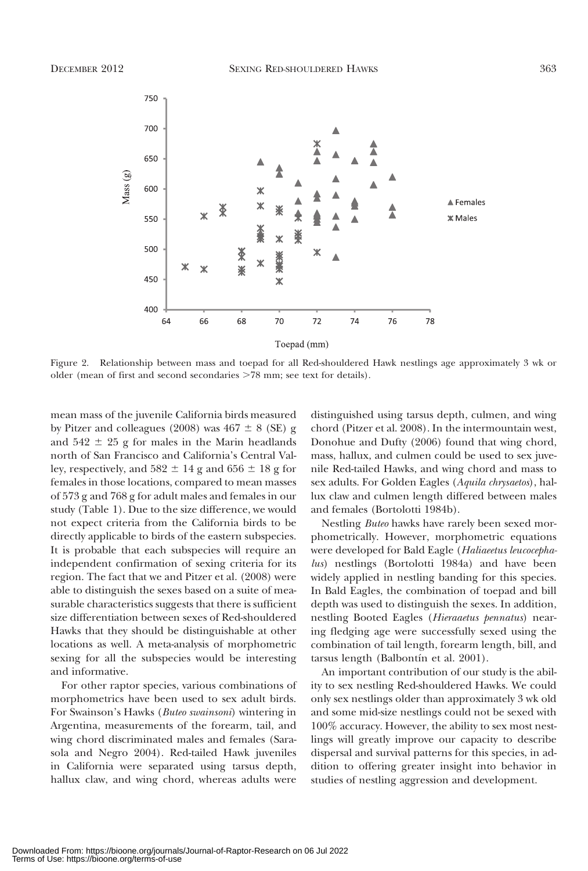

Figure 2. Relationship between mass and toepad for all Red-shouldered Hawk nestlings age approximately 3 wk or older (mean of first and second secondaries >78 mm; see text for details).

mean mass of the juvenile California birds measured by Pitzer and colleagues (2008) was  $467 \pm 8$  (SE) g and  $542 \pm 25$  g for males in the Marin headlands north of San Francisco and California's Central Valley, respectively, and  $582 \pm 14$  g and  $656 \pm 18$  g for females in those locations, compared to mean masses of 573 g and 768 g for adult males and females in our study (Table 1). Due to the size difference, we would not expect criteria from the California birds to be directly applicable to birds of the eastern subspecies. It is probable that each subspecies will require an independent confirmation of sexing criteria for its region. The fact that we and Pitzer et al. (2008) were able to distinguish the sexes based on a suite of measurable characteristics suggests that there is sufficient size differentiation between sexes of Red-shouldered Hawks that they should be distinguishable at other locations as well. A meta-analysis of morphometric sexing for all the subspecies would be interesting and informative.

For other raptor species, various combinations of morphometrics have been used to sex adult birds. For Swainson's Hawks (Buteo swainsoni) wintering in Argentina, measurements of the forearm, tail, and wing chord discriminated males and females (Sarasola and Negro 2004). Red-tailed Hawk juveniles in California were separated using tarsus depth, hallux claw, and wing chord, whereas adults were

distinguished using tarsus depth, culmen, and wing chord (Pitzer et al. 2008). In the intermountain west, Donohue and Dufty (2006) found that wing chord, mass, hallux, and culmen could be used to sex juvenile Red-tailed Hawks, and wing chord and mass to sex adults. For Golden Eagles (Aquila chrysaetos), hallux claw and culmen length differed between males and females (Bortolotti 1984b).

Nestling Buteo hawks have rarely been sexed morphometrically. However, morphometric equations were developed for Bald Eagle (Haliaeetus leucocephalus) nestlings (Bortolotti 1984a) and have been widely applied in nestling banding for this species. In Bald Eagles, the combination of toepad and bill depth was used to distinguish the sexes. In addition, nestling Booted Eagles (Hieraaetus pennatus) nearing fledging age were successfully sexed using the combination of tail length, forearm length, bill, and tarsus length (Balbontín et al. 2001).

An important contribution of our study is the ability to sex nestling Red-shouldered Hawks. We could only sex nestlings older than approximately 3 wk old and some mid-size nestlings could not be sexed with 100% accuracy. However, the ability to sex most nestlings will greatly improve our capacity to describe dispersal and survival patterns for this species, in addition to offering greater insight into behavior in studies of nestling aggression and development.